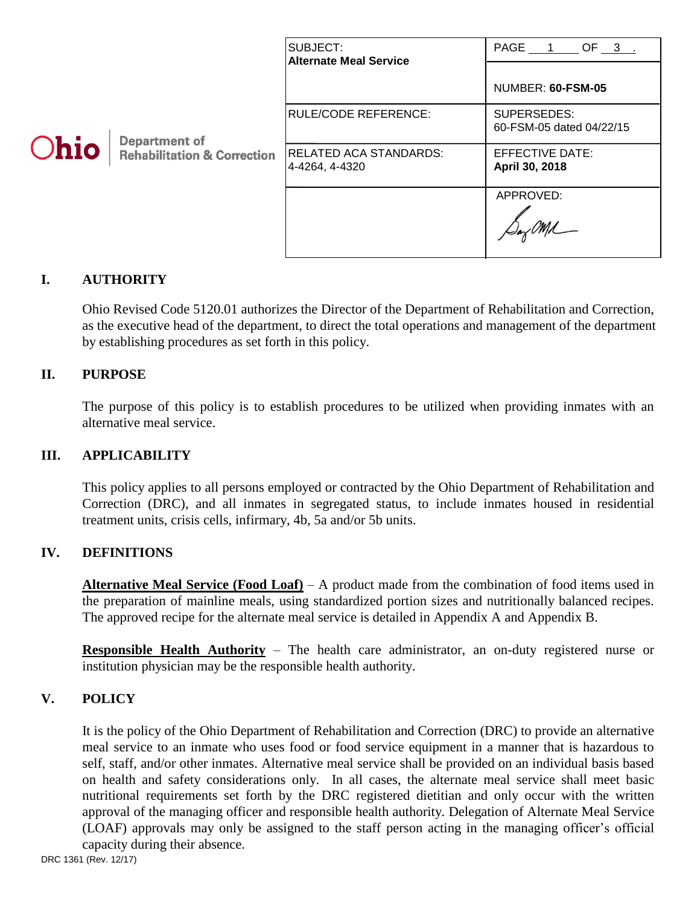|             | <b>Department of</b>                   | SUBJECT:<br><b>Alternate Meal Service</b>        | PAGE 1 OF 3                             |
|-------------|----------------------------------------|--------------------------------------------------|-----------------------------------------|
|             |                                        |                                                  | NUMBER: 60-FSM-05                       |
|             |                                        | RULE/CODE REFERENCE:                             | SUPERSEDES:<br>60-FSM-05 dated 04/22/15 |
| <b>Ohio</b> | <b>Rehabilitation &amp; Correction</b> | <b>IRELATED ACA STANDARDS:</b><br>4-4264, 4-4320 | EFFECTIVE DATE:<br>April 30, 2018       |
|             |                                        |                                                  | APPROVED:                               |

## **I. AUTHORITY**

Ohio Revised Code 5120.01 authorizes the Director of the Department of Rehabilitation and Correction, as the executive head of the department, to direct the total operations and management of the department by establishing procedures as set forth in this policy.

### **II. PURPOSE**

The purpose of this policy is to establish procedures to be utilized when providing inmates with an alternative meal service.

### **III. APPLICABILITY**

This policy applies to all persons employed or contracted by the Ohio Department of Rehabilitation and Correction (DRC), and all inmates in segregated status, to include inmates housed in residential treatment units, crisis cells, infirmary, 4b, 5a and/or 5b units.

#### **IV. DEFINITIONS**

**Alternative Meal Service (Food Loaf)** – A product made from the combination of food items used in the preparation of mainline meals, using standardized portion sizes and nutritionally balanced recipes. The approved recipe for the alternate meal service is detailed in Appendix A and Appendix B.

**Responsible Health Authority** – The health care administrator, an on-duty registered nurse or institution physician may be the responsible health authority.

## **V. POLICY**

It is the policy of the Ohio Department of Rehabilitation and Correction (DRC) to provide an alternative meal service to an inmate who uses food or food service equipment in a manner that is hazardous to self, staff, and/or other inmates. Alternative meal service shall be provided on an individual basis based on health and safety considerations only. In all cases, the alternate meal service shall meet basic nutritional requirements set forth by the DRC registered dietitian and only occur with the written approval of the managing officer and responsible health authority. Delegation of Alternate Meal Service (LOAF) approvals may only be assigned to the staff person acting in the managing officer's official capacity during their absence.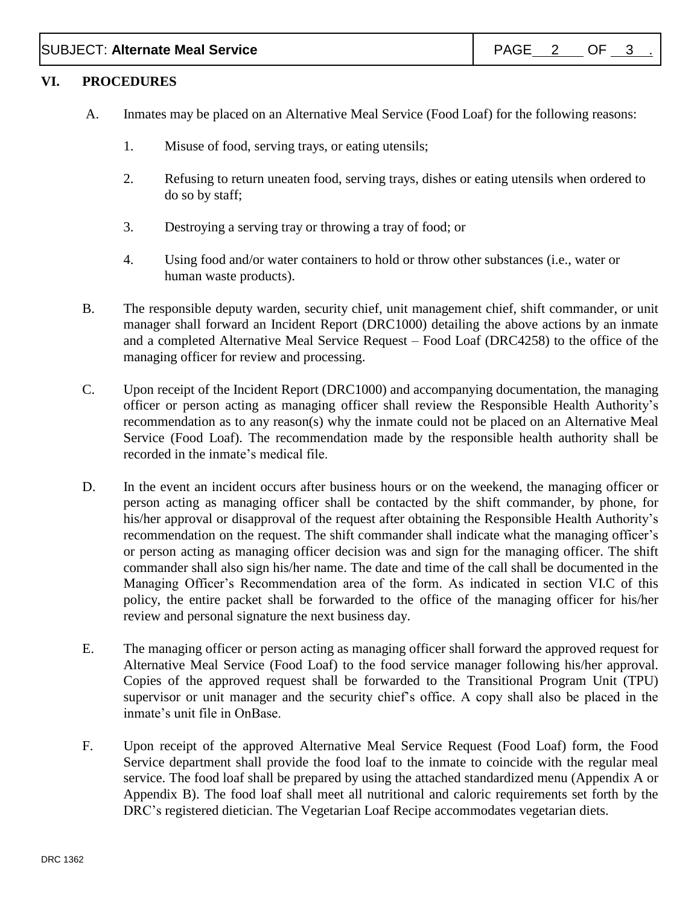### **VI. PROCEDURES**

- A. Inmates may be placed on an Alternative Meal Service (Food Loaf) for the following reasons:
	- 1. Misuse of food, serving trays, or eating utensils;
	- 2. Refusing to return uneaten food, serving trays, dishes or eating utensils when ordered to do so by staff;
	- 3. Destroying a serving tray or throwing a tray of food; or
	- 4. Using food and/or water containers to hold or throw other substances (i.e., water or human waste products).
- B. The responsible deputy warden, security chief, unit management chief, shift commander, or unit manager shall forward an Incident Report (DRC1000) detailing the above actions by an inmate and a completed Alternative Meal Service Request – Food Loaf (DRC4258) to the office of the managing officer for review and processing.
- C. Upon receipt of the Incident Report (DRC1000) and accompanying documentation, the managing officer or person acting as managing officer shall review the Responsible Health Authority's recommendation as to any reason(s) why the inmate could not be placed on an Alternative Meal Service (Food Loaf). The recommendation made by the responsible health authority shall be recorded in the inmate's medical file.
- D. In the event an incident occurs after business hours or on the weekend, the managing officer or person acting as managing officer shall be contacted by the shift commander, by phone, for his/her approval or disapproval of the request after obtaining the Responsible Health Authority's recommendation on the request. The shift commander shall indicate what the managing officer's or person acting as managing officer decision was and sign for the managing officer. The shift commander shall also sign his/her name. The date and time of the call shall be documented in the Managing Officer's Recommendation area of the form. As indicated in section VI.C of this policy, the entire packet shall be forwarded to the office of the managing officer for his/her review and personal signature the next business day.
- E. The managing officer or person acting as managing officer shall forward the approved request for Alternative Meal Service (Food Loaf) to the food service manager following his/her approval. Copies of the approved request shall be forwarded to the Transitional Program Unit (TPU) supervisor or unit manager and the security chief's office. A copy shall also be placed in the inmate's unit file in OnBase.
- F. Upon receipt of the approved Alternative Meal Service Request (Food Loaf) form, the Food Service department shall provide the food loaf to the inmate to coincide with the regular meal service. The food loaf shall be prepared by using the attached standardized menu (Appendix A or Appendix B). The food loaf shall meet all nutritional and caloric requirements set forth by the DRC's registered dietician. The Vegetarian Loaf Recipe accommodates vegetarian diets.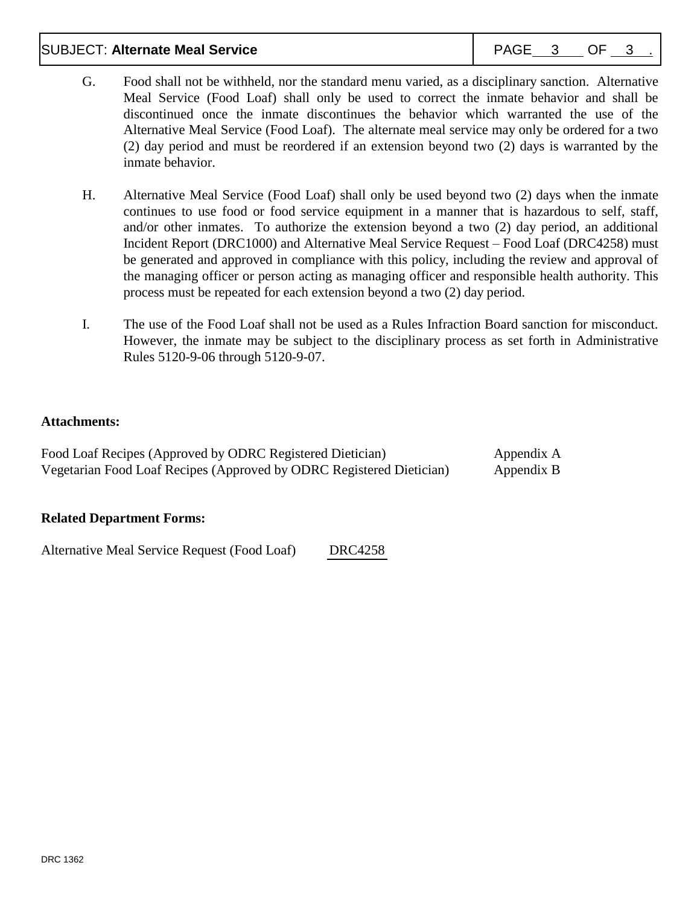## SUBJECT: Alternate Meal Service **PAGE 1 PAGE 3** OF 3

- G. Food shall not be withheld, nor the standard menu varied, as a disciplinary sanction. Alternative Meal Service (Food Loaf) shall only be used to correct the inmate behavior and shall be discontinued once the inmate discontinues the behavior which warranted the use of the Alternative Meal Service (Food Loaf). The alternate meal service may only be ordered for a two (2) day period and must be reordered if an extension beyond two (2) days is warranted by the inmate behavior.
- H. Alternative Meal Service (Food Loaf) shall only be used beyond two (2) days when the inmate continues to use food or food service equipment in a manner that is hazardous to self, staff, and/or other inmates. To authorize the extension beyond a two (2) day period, an additional Incident Report (DRC1000) and Alternative Meal Service Request – Food Loaf (DRC4258) must be generated and approved in compliance with this policy, including the review and approval of the managing officer or person acting as managing officer and responsible health authority. This process must be repeated for each extension beyond a two (2) day period.
- I. The use of the Food Loaf shall not be used as a Rules Infraction Board sanction for misconduct. However, the inmate may be subject to the disciplinary process as set forth in Administrative Rules 5120-9-06 through 5120-9-07.

## **Attachments:**

Food Loaf Recipes (Approved by ODRC Registered Dietician) Appendix A Vegetarian Food Loaf Recipes (Approved by ODRC Registered Dietician) Appendix B

#### **Related Department Forms:**

Alternative Meal Service Request (Food Loaf) [DRC4258](http://intra/policy/forms/DRC4258.pdf)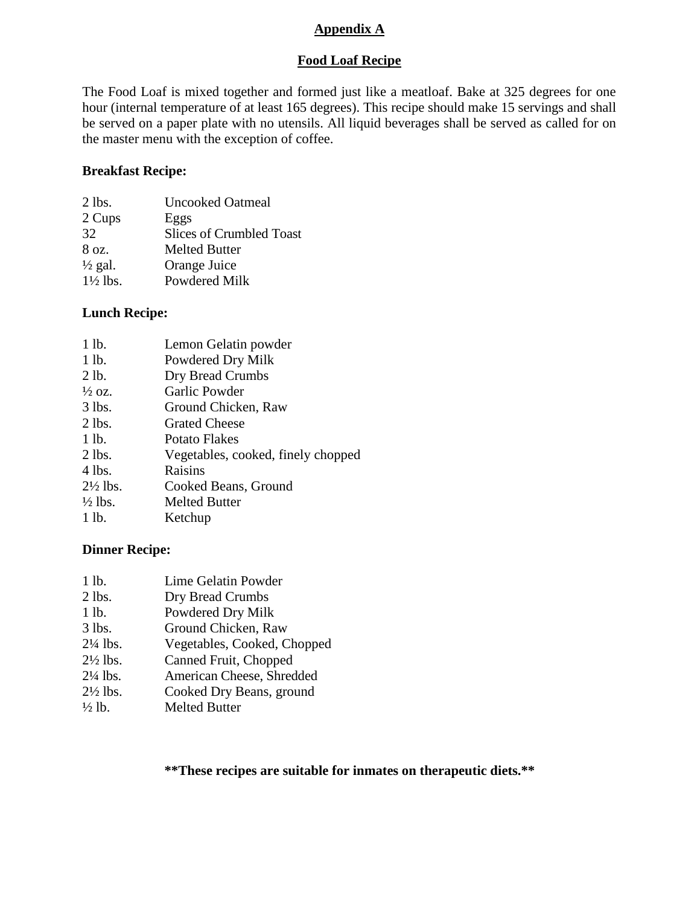### **Appendix A**

# **Food Loaf Recipe**

The Food Loaf is mixed together and formed just like a meatloaf. Bake at 325 degrees for one hour (internal temperature of at least 165 degrees). This recipe should make 15 servings and shall be served on a paper plate with no utensils. All liquid beverages shall be served as called for on the master menu with the exception of coffee.

#### **Breakfast Recipe:**

| $2$ lbs.            | <b>Uncooked Oatmeal</b>         |
|---------------------|---------------------------------|
| 2 Cups              | Eggs                            |
| 32                  | <b>Slices of Crumbled Toast</b> |
| 8 oz.               | <b>Melted Butter</b>            |
| $\frac{1}{2}$ gal.  | Orange Juice                    |
| $1\frac{1}{2}$ lbs. | Powdered Milk                   |

### **Lunch Recipe:**

| 1 lb.               | Lemon Gelatin powder               |
|---------------------|------------------------------------|
| 1 lb.               | Powdered Dry Milk                  |
| 2 lb.               | Dry Bread Crumbs                   |
| $\frac{1}{2}$ OZ.   | Garlic Powder                      |
| $3$ lbs.            | Ground Chicken, Raw                |
| $2$ lbs.            | <b>Grated Cheese</b>               |
| 1 lb.               | <b>Potato Flakes</b>               |
| $2$ lbs.            | Vegetables, cooked, finely chopped |
| 4 lbs.              | Raisins                            |
| $2\frac{1}{2}$ lbs. | Cooked Beans, Ground               |
| $\frac{1}{2}$ lbs.  | <b>Melted Butter</b>               |
| 1 lb.               | Ketchup                            |

## **Dinner Recipe:**

| 1 lb.               | Lime Gelatin Powder         |
|---------------------|-----------------------------|
| $2$ lbs.            | Dry Bread Crumbs            |
| 1 lb.               | Powdered Dry Milk           |
| $3$ lbs.            | Ground Chicken, Raw         |
| $2\frac{1}{4}$ lbs. | Vegetables, Cooked, Chopped |
| $2\frac{1}{2}$ lbs. | Canned Fruit, Chopped       |
| $2\frac{1}{4}$ lbs. | American Cheese, Shredded   |
| $2\frac{1}{2}$ lbs. | Cooked Dry Beans, ground    |
| $\frac{1}{2}$ lb.   | <b>Melted Butter</b>        |

**\*\*These recipes are suitable for inmates on therapeutic diets.\*\***